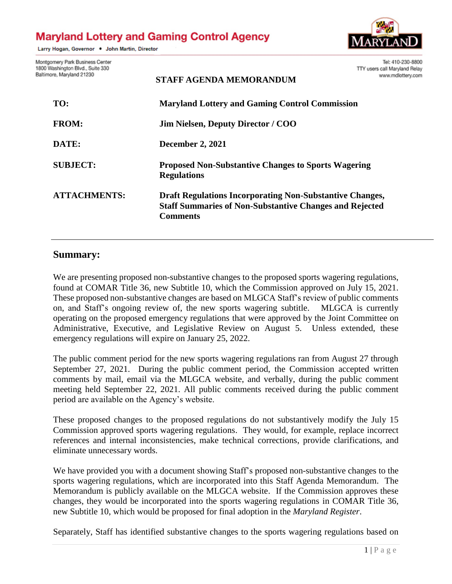# **Maryland Lottery and Gaming Control Agency**

Larry Hogan, Governor . John Martin, Director



Tel: 410-230-8800

Montgomery Park Business Center 1800 Baltim

| Washington Blvd., Suite 330<br>hore, Maryland 21230 | TTY users call Maryland Relay<br>www.mdlottery.com<br><b>STAFF AGENDA MEMORANDUM</b>                                                                 |
|-----------------------------------------------------|------------------------------------------------------------------------------------------------------------------------------------------------------|
| TO:                                                 | <b>Maryland Lottery and Gaming Control Commission</b>                                                                                                |
| <b>FROM:</b>                                        | <b>Jim Nielsen, Deputy Director / COO</b>                                                                                                            |
| DATE:                                               | <b>December 2, 2021</b>                                                                                                                              |
| <b>SUBJECT:</b>                                     | <b>Proposed Non-Substantive Changes to Sports Wagering</b><br><b>Regulations</b>                                                                     |
| <b>ATTACHMENTS:</b>                                 | <b>Draft Regulations Incorporating Non-Substantive Changes,</b><br><b>Staff Summaries of Non-Substantive Changes and Rejected</b><br><b>Comments</b> |

# **Summary:**

We are presenting proposed non-substantive changes to the proposed sports wagering regulations, found at COMAR Title 36, new Subtitle 10, which the Commission approved on July 15, 2021. These proposed non-substantive changes are based on MLGCA Staff's review of public comments on, and Staff's ongoing review of, the new sports wagering subtitle. MLGCA is currently operating on the proposed emergency regulations that were approved by the Joint Committee on Administrative, Executive, and Legislative Review on August 5. Unless extended, these emergency regulations will expire on January 25, 2022.

The public comment period for the new sports wagering regulations ran from August 27 through September 27, 2021. During the public comment period, the Commission accepted written comments by mail, email via the MLGCA website, and verbally, during the public comment meeting held September 22, 2021. All public comments received during the public comment period are available on the Agency's website.

These proposed changes to the proposed regulations do not substantively modify the July 15 Commission approved sports wagering regulations. They would, for example, replace incorrect references and internal inconsistencies, make technical corrections, provide clarifications, and eliminate unnecessary words.

We have provided you with a document showing Staff's proposed non-substantive changes to the sports wagering regulations, which are incorporated into this Staff Agenda Memorandum. The Memorandum is publicly available on the MLGCA website. If the Commission approves these changes, they would be incorporated into the sports wagering regulations in COMAR Title 36, new Subtitle 10, which would be proposed for final adoption in the *Maryland Register*.

Separately, Staff has identified substantive changes to the sports wagering regulations based on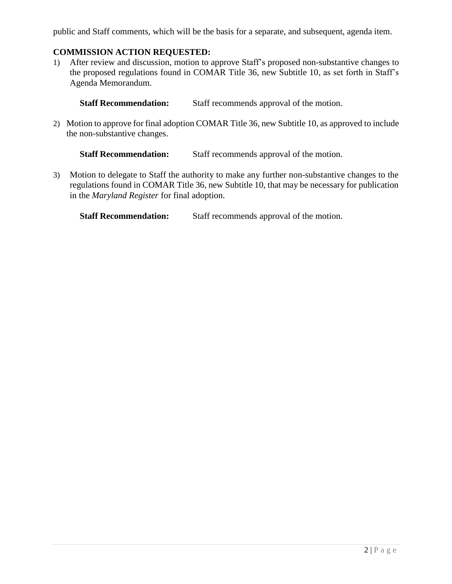public and Staff comments, which will be the basis for a separate, and subsequent, agenda item.

## **COMMISSION ACTION REQUESTED:**

1) After review and discussion, motion to approve Staff's proposed non-substantive changes to the proposed regulations found in COMAR Title 36, new Subtitle 10, as set forth in Staff's Agenda Memorandum.

**Staff Recommendation:** Staff recommends approval of the motion.

2) Motion to approve for final adoption COMAR Title 36, new Subtitle 10, as approved to include the non-substantive changes.

**Staff Recommendation:** Staff recommends approval of the motion.

3) Motion to delegate to Staff the authority to make any further non-substantive changes to the regulations found in COMAR Title 36, new Subtitle 10, that may be necessary for publication in the *Maryland Register* for final adoption.

**Staff Recommendation:** Staff recommends approval of the motion.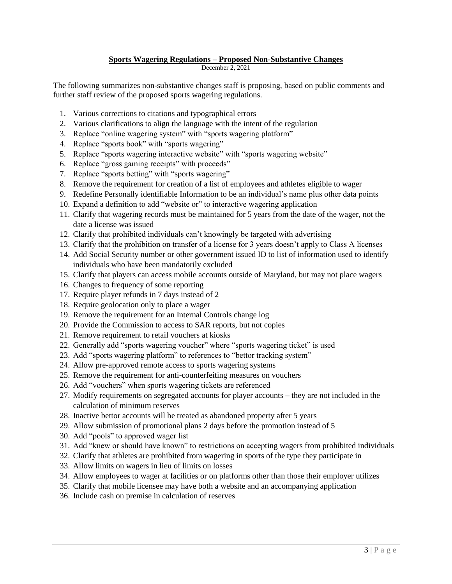### **Sports Wagering Regulations – Proposed Non-Substantive Changes**

December 2, 2021

The following summarizes non-substantive changes staff is proposing, based on public comments and further staff review of the proposed sports wagering regulations.

- 1. Various corrections to citations and typographical errors
- 2. Various clarifications to align the language with the intent of the regulation
- 3. Replace "online wagering system" with "sports wagering platform"
- 4. Replace "sports book" with "sports wagering"
- 5. Replace "sports wagering interactive website" with "sports wagering website"
- 6. Replace "gross gaming receipts" with proceeds"
- 7. Replace "sports betting" with "sports wagering"
- 8. Remove the requirement for creation of a list of employees and athletes eligible to wager
- 9. Redefine Personally identifiable Information to be an individual's name plus other data points
- 10. Expand a definition to add "website or" to interactive wagering application
- 11. Clarify that wagering records must be maintained for 5 years from the date of the wager, not the date a license was issued
- 12. Clarify that prohibited individuals can't knowingly be targeted with advertising
- 13. Clarify that the prohibition on transfer of a license for 3 years doesn't apply to Class A licenses
- 14. Add Social Security number or other government issued ID to list of information used to identify individuals who have been mandatorily excluded
- 15. Clarify that players can access mobile accounts outside of Maryland, but may not place wagers
- 16. Changes to frequency of some reporting
- 17. Require player refunds in 7 days instead of 2
- 18. Require geolocation only to place a wager
- 19. Remove the requirement for an Internal Controls change log
- 20. Provide the Commission to access to SAR reports, but not copies
- 21. Remove requirement to retail vouchers at kiosks
- 22. Generally add "sports wagering voucher" where "sports wagering ticket" is used
- 23. Add "sports wagering platform" to references to "bettor tracking system"
- 24. Allow pre-approved remote access to sports wagering systems
- 25. Remove the requirement for anti-counterfeiting measures on vouchers
- 26. Add "vouchers" when sports wagering tickets are referenced
- 27. Modify requirements on segregated accounts for player accounts they are not included in the calculation of minimum reserves
- 28. Inactive bettor accounts will be treated as abandoned property after 5 years
- 29. Allow submission of promotional plans 2 days before the promotion instead of 5
- 30. Add "pools" to approved wager list
- 31. Add "knew or should have known" to restrictions on accepting wagers from prohibited individuals
- 32. Clarify that athletes are prohibited from wagering in sports of the type they participate in
- 33. Allow limits on wagers in lieu of limits on losses
- 34. Allow employees to wager at facilities or on platforms other than those their employer utilizes
- 35. Clarify that mobile licensee may have both a website and an accompanying application
- 36. Include cash on premise in calculation of reserves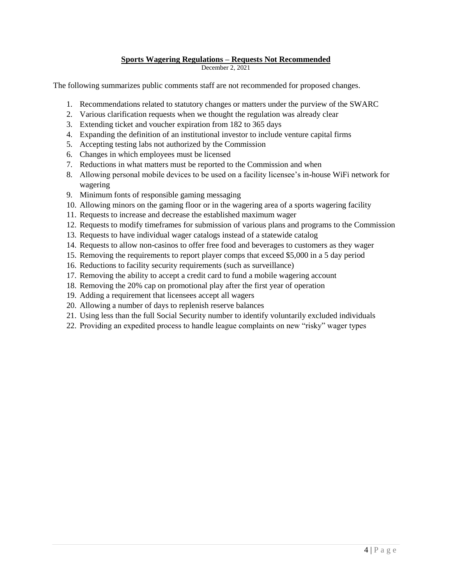### **Sports Wagering Regulations – Requests Not Recommended**

December 2, 2021

The following summarizes public comments staff are not recommended for proposed changes.

- 1. Recommendations related to statutory changes or matters under the purview of the SWARC
- 2. Various clarification requests when we thought the regulation was already clear
- 3. Extending ticket and voucher expiration from 182 to 365 days
- 4. Expanding the definition of an institutional investor to include venture capital firms
- 5. Accepting testing labs not authorized by the Commission
- 6. Changes in which employees must be licensed
- 7. Reductions in what matters must be reported to the Commission and when
- 8. Allowing personal mobile devices to be used on a facility licensee's in-house WiFi network for wagering
- 9. Minimum fonts of responsible gaming messaging
- 10. Allowing minors on the gaming floor or in the wagering area of a sports wagering facility
- 11. Requests to increase and decrease the established maximum wager
- 12. Requests to modify timeframes for submission of various plans and programs to the Commission
- 13. Requests to have individual wager catalogs instead of a statewide catalog
- 14. Requests to allow non-casinos to offer free food and beverages to customers as they wager
- 15. Removing the requirements to report player comps that exceed \$5,000 in a 5 day period
- 16. Reductions to facility security requirements (such as surveillance)
- 17. Removing the ability to accept a credit card to fund a mobile wagering account
- 18. Removing the 20% cap on promotional play after the first year of operation
- 19. Adding a requirement that licensees accept all wagers
- 20. Allowing a number of days to replenish reserve balances
- 21. Using less than the full Social Security number to identify voluntarily excluded individuals
- 22. Providing an expedited process to handle league complaints on new "risky" wager types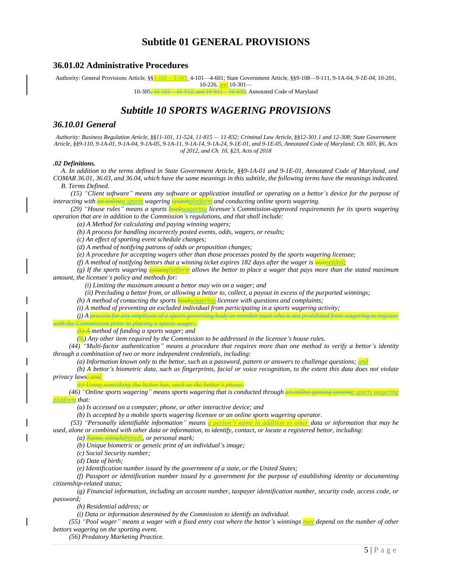# **Subtitle 01 GENERAL PROVISIONS**

### **36.01.02 Administrative Procedures**

Authority: General Provisions Article, §§3-101—3-501; 4-101—4-601; State Government Article, §§9-108—9-111, 9-1A-04, *9-1E-04,* 10-201,

10-226, and 10-301-

10-305, 10-501—10-512, and 10-611—10-630; Annotated Code of Maryland

# *Subtitle 10 SPORTS WAGERING PROVISIONS*

### *36.10.01 General*

Authority: Business Regulation Article, §§11-101, 11-524, 11-815 - 11-832; Criminal Law Article, §§12-301.1 and 12-308; State Government Article, §§9-110, 9-1A-01, 9-1A-04, 9-1A-05, 9-1A-11, 9-1A-14, 9-1A-24, 9-1E-01, and 9-1E-05, Annotated Code of Maryland; Ch. 603, §6, Acts *of 2012, and Ch. 10, §23, Acts of 2018*

#### *.02 Definitions.*

A. In addition to the terms defined in State Government Article, §§9-1A-01 and 9-1E-01, Annotated Code of Maryland, and COMAR 36.01, 36.03, and 36.04, which have the same meanings in this subtitle, the following terms have the meanings indicated.

*B. Terms Defined.*

(15) "Client software" means any software or application installed or operating on a bettor's device for the purpose of *interacting with an onlinea sports wagering systemplatform and conducting online sports wagering.*

*(29) "House rules" means a sports bookwagering licensee's Commission-approved requirements for its sports wagering operation that are in addition to the Commission's regulations, and that shall include:*

*(a) A Method for calculating and paying winning wagers;*

*(b) A process for handling incorrectly posted events, odds, wagers, or results;*

*(c) An effect of sporting event schedule changes;*

*(d) A method of notifying patrons of odds or proposition changes;*

*(e) A procedure for accepting wagers other than those processes posted by the sports wagering licensee;*

*(f) A method of notifying bettors that a winning ticket expires 182 days after the wager is wonsettled;*

(g) If the sports wagering  $\frac{1}{\text{system}}$  allows the bettor to place a wager that pays more than the stated maximum *amount, the licensee's policy and methods for:*

*(i) Limiting the maximum amount a bettor may win on a wager; and*

(ii) Precluding a bettor from, or allowing a bettor to, collect, a payout in excess of the purported winnings;

*(h) A method of contacting the sports bookwagering licensee with questions and complaints;*

*(i) A method of preventing an excluded individual from participating in a sports wagering activity; (j) A process for any employee of a sports governing body or member team who is not prohibited from wagering to register* 

*with the Commission prior to placing a sports wager;* 

*(k) A method of funding a sports wager; and*

*(lk) Any other item required by the Commission to be addressed in the licensee's house rules.*

(44) "Multi-factor authentication" means a procedure that requires more than one method to verify a bettor's identity *through a combination of two or more independent credentials, including:*

(a) Information known only to the bettor, such as a password, pattern or answers to challenge questions; and

(b) A bettor's biometric data, such as fingerprints, facial or voice recognition, to the extent this data does not violate *privacy laws; and.*

*(c) Using something the bettor has, such as the bettor's phone.*

*(46) "Online sports wagering" means sports wagering that is conducted through an online gaming systema sports wagering platform that:*

*(a) Is accessed on a computer, phone, or other interactive device; and*

*(b) Is accepted by a mobile sports wagering licensee or an online sports wagering operator.*

*(53) "Personally identifiable information" means a person's name in addition to other data or information that may be* used, alone or combined with other data or information, to identify, contact, or locate a registered bettor, including:

*(a) Name, initialsInitials, or personal mark;*

*(b) Unique biometric or genetic print of an individual's image;*

*(c) Social Security number;*

*(d) Date of birth;*

*(e) Identification number issued by the government of a state, or the United States;*

(f) Passport or identification number issued by a government for the purpose of establishing identity or documenting *citizenship-related status;*

*(g) Financial information, including an account number, taxpayer identification number, security code, access code, or password;*

*(h) Residential address; or*

*(i) Data or information determined by the Commission to identify an individual.*

(55) "Pool wager" means a wager with a fixed entry cost where the bettor's winnings may depend on the number of other *bettors wagering on the sporting event.*

*(56) Predatory Marketing Practice.*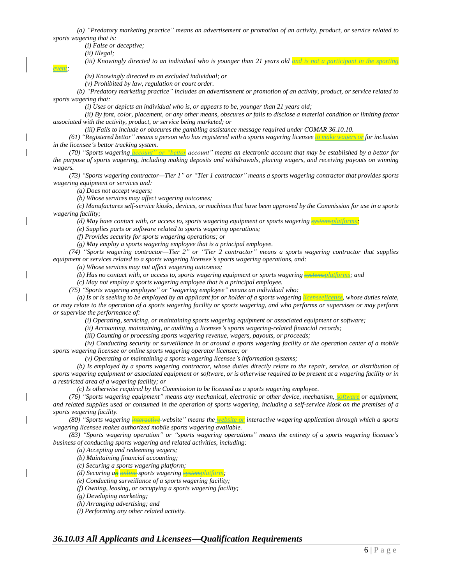(a) "Predatory marketing practice" means an advertisement or promotion of an activity, product, or service related to *sports wagering that is:*

*(i) False or deceptive;*

*(ii) Illegal;*

*event;*

*(iii) Knowingly directed to an individual who is younger than 21 years old and is not a participant in the sporting* 

*(iv) Knowingly directed to an excluded individual; or*

*(v) Prohibited by law, regulation or court order.*

(b) "Predatory marketing practice" includes an advertisement or promotion of an activity, product, or service related to *sports wagering that:*

*(i) Uses or depicts an individual who is, or appears to be, younger than 21 years old;*

(ii) By font, color, placement, or any other means, obscures or fails to disclose a material condition or limiting factor *associated with the activity, product, or service being marketed; or*

*(iii) Fails to include or obscures the gambling assistance message required under COMAR 36.10.10.*

(61) "Registered bettor" means a person who has registered with a sports wagering licensee to make wagers on for inclusion *in the licensee's bettor tracking system.*

(70) "Sports wagering *account" or "bettor* account" means an electronic account that may be established by a bettor for the purpose of sports wagering, including making deposits and withdrawals, placing wagers, and receiving payouts on winning *wagers.*

*(73) "Sports wagering contractor—Tier 1" or "Tier 1 contractor" means a sports wagering contractor that provides sports wagering equipment or services and:*

*(a) Does not accept wagers;*

*(b) Whose services may affect wagering outcomes;*

(c) Manufactures self-service kiosks, devices, or machines that have been approved by the Commission for use in a sports *wagering facility;*

*(d) May have contact with, or access to, sports wagering equipment or sports wagering systemsplatforms;*

*(e) Supplies parts or software related to sports wagering operations;*

*(f) Provides security for sports wagering operations; or*

*(g) May employ a sports wagering employee that is a principal employee.*

*(74) "Sports wagering contractor—Tier 2" or "Tier 2 contractor" means a sports wagering contractor that supplies equipment or services related to a sports wagering licensee's sports wagering operations, and:*

*(a) Whose services may not affect wagering outcomes;*

*(b) Has no contact with, or access to, sports wagering equipment or sports wagering systemsplatforms; and*

*(c) May not employ a sports wagering employee that is a principal employee.*

*(75) "Sports wagering employee" or "wagering employee" means an individual who:*

(a) Is or is seeking to be employed by an applicant for or holder of a sports wagering the assession whose duties relate, or may relate to the operation of a sports wagering facility or sports wagering, and who performs or supervises or may perform *or supervise the performance of:*

*(i) Operating, servicing, or maintaining sports wagering equipment or associated equipment or software;*

*(ii) Accounting, maintaining, or auditing a licensee's sports wagering-related financial records;*

*(iii) Counting or processing sports wagering revenue, wagers, payouts, or proceeds;*

(iv) Conducting security or surveillance in or around a sports wagering facility or the operation center of a mobile *sports wagering licensee or online sports wagering operator licensee; or*

*(v) Operating or maintaining a sports wagering licensee's information systems;* 

(b) Is employed by a sports wagering contractor, whose duties directly relate to the repair, service, or distribution of sports wagering equipment or associated equipment or software, or is otherwise required to be present at a wagering facility or in *a restricted area of a wagering facility; or*

*(c) Is otherwise required by the Commission to be licensed as a sports wagering employee*.

*(76) "Sports wagering equipment" means any mechanical, electronic or other device, mechanism, software or equipment,* and related supplies used or consumed in the operation of sports wagering, including a self-service kiosk on the premises of a *sports wagering facility.*

*(80) "Sports wagering interactive website" means the website or interactive wagering application through which a sports wagering licensee makes authorized mobile sports wagering available.*

*(83) "Sports wagering operation" or "sports wagering operations" means the entirety of a sports wagering licensee's business of conducting sports wagering and related activities, including:*

*(a) Accepting and redeeming wagers;*

*(b) Maintaining financial accounting;*

*(c) Securing a sports wagering platform;*

*(d) Securing an online sports wagering systemplatform;*

*(e) Conducting surveillance of a sports wagering facility;*

*(f) Owning, leasing, or occupying a sports wagering facility;*

*(g) Developing marketing;*

*(h) Arranging advertising; and*

*(i) Performing any other related activity.*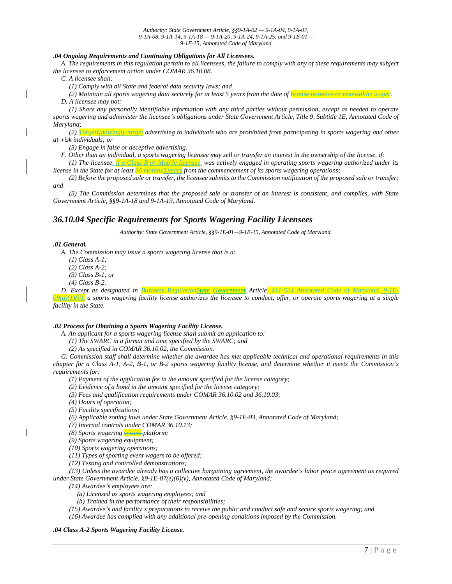#### *.04 Ongoing Requirements and Continuing Obligations for All Licensees.*

A. The requirements in this regulation pertain to all licensees, the failure to comply with any of these requirements may subject *the licensee to enforcement action under COMAR 36.10.08.*

*C. A licensee shall:*

*(1) Comply with all State and federal data security laws; and*

(2) Maintain all sports wagering data securely for at least 5 years from the date of license issuence or renewalthe wagen

*D. A licensee may not:*

(1) Share any personally identifiable information with any third parties without permission, except as needed to operate sports wagering and administer the licensee's obligations under State Government Article, Title 9, Subtitle 1E, Annotated Code of *Maryland;*

(2) FargetKnowingly target advertising to individuals who are prohibited from participating in sports wagering and other *at–risk individuals; or*

*(3) Engage in false or deceptive advertising.*

F. Other than an individual, a sports wagering licensee may sell or transfer an interest in the ownership of the license, if:

*(1) The licensee, if a Class B or Mobile licensee, was actively engaged in operating sports wagering authorized under its license in the State for at least 36 months3 years from the commencement of its sports wagering operations;*

(2) Before the proposed sale or transfer, the licensee submits to the Commission notification of the proposed sale or transfer; *and*

(3) The Commission determines that the proposed sale or transfer of an interest is consistent, and complies, with State *Government Article, §§9-1A-18 and 9-1A-19, Annotated Code of Maryland.*

### *36.10.04 Specific Requirements for Sports Wagering Facility Licensees*

*Authority: State Government Article, §§9-1E-01—9-1E-15, Annotated Code of Maryland.*

#### *.01 General.*

*A. The Commission may issue a sports wagering license that is a:*

*(1) Class A-1;*

- *(2) Class A-2;*
- *(3) Class B-1; or*
- *(4) Class B-2.*

*D. Except as designated in Business RegulationState Government Article, §11-524 Annotated Code of Maryland, 9-1E-* $\frac{1}{2}$  (1)(ii), a sports wagering facility license authorizes the licensee to conduct, offer, or operate sports wagering at a single *facility in the State.*

#### *.02 Process for Obtaining a Sports Wagering Facility License.*

*A. An applicant for a sports wagering license shall submit an application to:*

*(1) The SWARC in a format and time specified by the SWARC; and*

*(2) As specified in COMAR 36.10.02, the Commission.*

G. Commission staff shall determine whether the awardee has met applicable technical and operational requirements in this chapter for a Class A-1, A-2, B-1, or B-2 sports wagering facility license, and determine whether it meets the Commission's *requirements for:*

*(1) Payment of the application fee in the amount specified for the license category;*

*(2) Evidence of a bond in the amount specified for the license category;*

*(3) Fees and qualification requirements under COMAR 36.10.02 and 36.10.03;*

*(4) Hours of operation;*

*(5) Facility specifications;*

*(6) Applicable zoning laws under State Government Article, §9-1E-03, Annotated Code of Maryland;*

*(7) Internal controls under COMAR 36.10.13;*

*(8) Sports wagering system platform;*

*(9) Sports wagering equipment;*

*(10) Sports wagering operations;*

*(11) Types of sporting event wagers to be offered;*

*(12) Testing and controlled demonstrations;*

(13) Unless the awardee already has a collective bargaining agreement, the awardee's labor peace agreement as required *under State Government Article, §9-1E-07(e)(6)(v), Annotated Code of Maryland;*

*(14) Awardee's employees are:*

*(a) Licensed as sports wagering employees; and*

*(b) Trained in the performance of their responsibilities;*

(15) Awardee's and facility's preparations to receive the public and conduct safe and secure sports wagering; and

*(16) Awardee has complied with any additional pre-opening conditions imposed by the Commission.*

#### *.04 Class A-2 Sports Wagering Facility License.*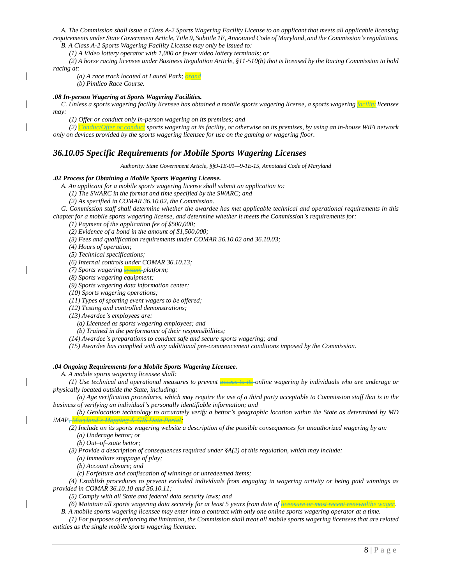A. The Commission shall issue a Class A-2 Sports Wagering Facility License to an applicant that meets all applicable licensing requirements under State Government Article, Title 9, Subtitle 1E, Annotated Code of Maryland, and the Commission's regulations. *B. A Class A-2 Sports Wagering Facility License may only be issued to:*

*(1) A Video lottery operator with 1,000 or fewer video lottery terminals; or*

(2) A horse racing licensee under Business Regulation Article, §11-510(b) that is licensed by the Racing Commission to hold *racing at:*

*(a) A race track located at Laurel Park; orand*

*(b) Pimlico Race Course.*

#### *.08 In-person Wagering at Sports Wagering Facilities.*

C. Unless a sports wagering facility licensee has obtained a mobile sports wagering license, a sports wagering *facility* licensee *may:*

*(1) Offer or conduct only in-person wagering on its premises; and*

*(2) ConductOffer or conduct sports wagering at its facility, or otherwise on its premises, by using an in-house WiFi network only on devices provided by the sports wagering licensee for use on the gaming or wagering floor.* 

### *36.10.05 Specific Requirements for Mobile Sports Wagering Licenses*

*Authority: State Government Article, §§9-1E-01—9-1E-15, Annotated Code of Maryland*

#### **.***02 Process for Obtaining a Mobile Sports Wagering License.*

*A. An applicant for a mobile sports wagering license shall submit an application to:*

*(1) The SWARC in the format and time specified by the SWARC; and*

*(2) As specified in COMAR 36.10.02, the Commission.*

G. Commission staff shall determine whether the awardee has met applicable technical and operational requirements in this *chapter for a mobile sports wagering license, and determine whether it meets the Commission's requirements for:*

*(1) Payment of the application fee of \$500,000;*

*(2) Evidence of a bond in the amount of \$1,500,000;*

*(3) Fees and qualification requirements under COMAR 36.10.02 and 36.10.03;*

*(4) Hours of operation;*

*(5) Technical specifications;*

*(6) Internal controls under COMAR 36.10.13;*

*(7) Sports wagering system platform;*

*(8) Sports wagering equipment;*

*(9) Sports wagering data information center;*

*(10) Sports wagering operations;*

*(11) Types of sporting event wagers to be offered;*

*(12) Testing and controlled demonstrations;*

*(13) Awardee's employees are:*

*(a) Licensed as sports wagering employees; and*

*(b) Trained in the performance of their responsibilities;*

*(14) Awardee's preparations to conduct safe and secure sports wagering; and*

*(15) Awardee has complied with any additional pre-commencement conditions imposed by the Commission.*

#### *.04 Ongoing Requirements for a Mobile Sports Wagering Licensee.*

*A. A mobile sports wagering licensee shall:*

(1) Use technical and operational measures to prevent  $\frac{1}{\sqrt{1-\frac{1}{n}}}$  online wagering by individuals who are underage or *physically located outside the State, including:*

(a) Age verification procedures, which may require the use of a third party acceptable to Commission staff that is in the *business of verifying an individual's personally identifiable information; and*

(b) Geolocation technology to accurately verify a bettor's geographic location within the State as determined by MD *iMAP, Maryland's Mapping & GIS Data Portal;*

(2) Include on its sports wagering website a description of the possible consequences for unauthorized wagering by an: *(a) Underage bettor; or*

*(b) Out–of–state bettor;* 

*(3) Provide a description of consequences required under §A(2) of this regulation, which may include:*

*(a) Immediate stoppage of play;*

*(b) Account closure; and*

*(c) Forfeiture and confiscation of winnings or unredeemed items;*

(4) Establish procedures to prevent excluded individuals from engaging in wagering activity or being paid winnings as *provided in COMAR 36.10.10 and 36.10.11;*

*(5) Comply with all State and federal data security laws; and*

(6) Maintain all sports wagering data securely for at least 5 years from date of licensure or most recent renewalthe wager.

B. A mobile sports wagering licensee may enter into a contract with only one online sports wagering operator at a time.

(1) For purposes of enforcing the limitation, the Commission shall treat all mobile sports wagering licensees that are related *entities as the single mobile sports wagering licensee.*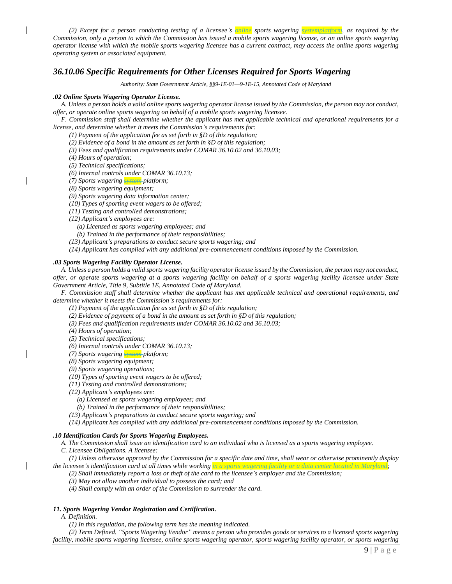(2) Except for a person conducting testing of a licensee's  $\frac{1}{\epsilon}$  sports wagering  $\frac{1}{\epsilon}$  as required by the Commission, only a person to which the Commission has issued a mobile sports wagering license, or an online sports wagering operator license with which the mobile sports wagering licensee has a current contract, may access the online sports wagering *operating system or associated equipment.*

### *36.10.06 Specific Requirements for Other Licenses Required for Sports Wagering*

*Authority: State Government Article, §§9-1E-01—9-1E-15, Annotated Code of Maryland*

#### *.02 Online Sports Wagering Operator License.*

A. Unless a person holds a valid online sports wagering operator license issued by the Commission, the person may not conduct, *offer, or operate online sports wagering on behalf of a mobile sports wagering licensee.*

F. Commission staff shall determine whether the applicant has met applicable technical and operational requirements for a *license, and determine whether it meets the Commission's requirements for:*

*(1) Payment of the application fee as set forth in §D of this regulation;*

*(2) Evidence of a bond in the amount as set forth in §D of this regulation;*

*(3) Fees and qualification requirements under COMAR 36.10.02 and 36.10.03;*

*(4) Hours of operation;*

*(5) Technical specifications;*

*(6) Internal controls under COMAR 36.10.13;*

- *(7) Sports wagering system platform;*
- *(8) Sports wagering equipment;*

*(9) Sports wagering data information center;*

*(10) Types of sporting event wagers to be offered;*

*(11) Testing and controlled demonstrations;*

*(12) Applicant's employees are:*

- *(a) Licensed as sports wagering employees; and*
- *(b) Trained in the performance of their responsibilities;*
- *(13) Applicant's preparations to conduct secure sports wagering; and*
- *(14) Applicant has complied with any additional pre-commencement conditions imposed by the Commission.*

#### *.03 Sports Wagering Facility Operator License.*

A. Unless a person holds a valid sports wagering facility operator license issued by the Commission, the person may not conduct, offer, or operate sports wagering at a sports wagering facility on behalf of a sports wagering facility licensee under State *Government Article, Title 9, Subtitle 1E, Annotated Code of Maryland.*

F. Commission staff shall determine whether the applicant has met applicable technical and operational requirements, and *determine whether it meets the Commission's requirements for:*

*(1) Payment of the application fee as set forth in §D of this regulation;*

*(2) Evidence of payment of a bond in the amount as set forth in §D of this regulation;*

*(3) Fees and qualification requirements under COMAR 36.10.02 and 36.10.03;*

*(4) Hours of operation;*

*(5) Technical specifications;*

*(6) Internal controls under COMAR 36.10.13;*

*(7) Sports wagering system platform;*

*(8) Sports wagering equipment;*

*(9) Sports wagering operations;*

*(10) Types of sporting event wagers to be offered;*

*(11) Testing and controlled demonstrations;*

*(12) Applicant's employees are:*

*(a) Licensed as sports wagering employees; and*

*(b) Trained in the performance of their responsibilities;*

*(13) Applicant's preparations to conduct secure sports wagering; and*

*(14) Applicant has complied with any additional pre-commencement conditions imposed by the Commission.*

#### *.10 Identification Cards for Sports Wagering Employees.*

A. The Commission shall issue an identification card to an individual who is licensed as a sports wagering employee.

*C. Licensee Obligations. A licensee:*

(1) Unless otherwise approved by the Commission for a specific date and time, shall wear or otherwise prominently display *the licensee's identification card at all times while working in a sports wagering facility or a data center located in Maryland;*

(2) Shall immediately report a loss or theft of the card to the licensee's employer and the Commission;

*(3) May not allow another individual to possess the card; and*

*(4) Shall comply with an order of the Commission to surrender the card.*

#### *11. Sports Wagering Vendor Registration and Certification.*

*A. Definition.*

*(1) In this regulation, the following term has the meaning indicated.*

(2) Term Defined. "Sports Wagering Vendor" means a person who provides goods or services to a licensed sports wagering facility, mobile sports wagering licensee, online sports wagering operator, sports wagering facility operator, or sports wagering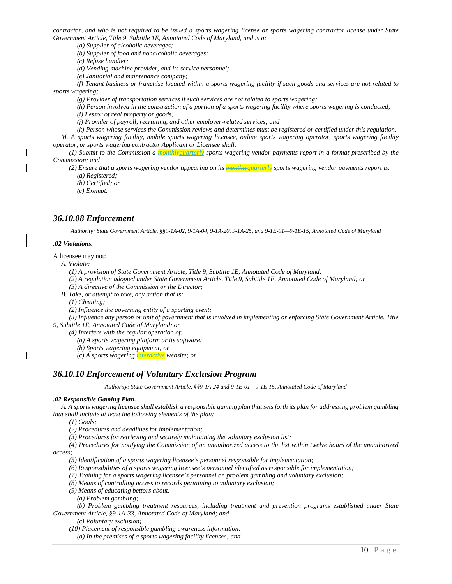contractor, and who is not required to be issued a sports wagering license or sports wagering contractor license under State *Government Article, Title 9, Subtitle 1E, Annotated Code of Maryland, and is a:*

*(a) Supplier of alcoholic beverages;*

*(b) Supplier of food and nonalcoholic beverages;*

*(c) Refuse handler;*

*(d) Vending machine provider, and its service personnel;*

*(e) Janitorial and maintenance company;*

(f) Tenant business or franchise located within a sports wagering facility if such goods and services are not related to *sports wagering;*

*(g) Provider of transportation services if such services are not related to sports wagering;*

(h) Person involved in the construction of a portion of a sports wagering facility where sports wagering is conducted;

*(i) Lessor of real property or goods;*

*(j) Provider of payroll, recruiting, and other employer-related services; and*

 $(k)$  Person whose services the Commission reviews and determines must be registered or certified under this regulation.

M. A sports wagering facility, mobile sports wagering licensee, online sports wagering operator, sports wagering facility *operator, or sports wagering contractor Applicant or Licensee shall:*

(1) Submit to the Commission a **Regardal Superty** sports wagering vendor payments report in a format prescribed by the *Commission; and*

(2) Ensure that a sports wagering vendor appearing on its **monthlyquarterly** sports wagering vendor payments report is: *(a) Registered;*

*(b) Certified; or*

*(c) Exempt.*

### *36.10.08 Enforcement*

*Authority: State Government Article, §§9-1A-02, 9-1A-04, 9-1A-20, 9-1A-25, and 9-1E-01—9-1E-15, Annotated Code of Maryland*

#### *.02 Violations.*

A licensee may not:

*A. Violate:*

*(1) A provision of State Government Article, Title 9, Subtitle 1E, Annotated Code of Maryland;*

(2) A regulation adopted under State Government Article, Title 9, Subtitle 1E, Annotated Code of Maryland; or

- *(3) A directive of the Commission or the Director;*
- *B. Take, or attempt to take, any action that is:*

*(1) Cheating;*

*(2) Influence the governing entity of a sporting event;*

(3) Influence any person or unit of government that is involved in implementing or enforcing State Government Article, Title *9, Subtitle 1E, Annotated Code of Maryland; or*

*(4) Interfere with the regular operation of:*

*(a) A sports wagering platform or its software;*

- *(b) Sports wagering equipment; or*
- *(c) A sports wagering interactive website; or*

### *36.10.10 Enforcement of Voluntary Exclusion Program*

*Authority: State Government Article, §§9-1A-24 and 9-1E-01—9-1E-15, Annotated Code of Maryland*

#### *.02 Responsible Gaming Plan.*

A. A sports wagering licensee shall establish a responsible gaming plan that sets forth its plan for addressing problem gambling *that shall include at least the following elements of the plan:*

*(1) Goals;*

- *(2) Procedures and deadlines for implementation;*
- *(3) Procedures for retrieving and securely maintaining the voluntary exclusion list;*

(4) Procedures for notifying the Commission of an unauthorized access to the list within twelve hours of the unauthorized *access;*

*(5) Identification of a sports wagering licensee's personnel responsible for implementation;*

*(6) Responsibilities of a sports wagering licensee's personnel identified as responsible for implementation;*

*(7) Training for a sports wagering licensee's personnel on problem gambling and voluntary exclusion;*

- *(8) Means of controlling access to records pertaining to voluntary exclusion;*
- *(9) Means of educating bettors about:*

*(a) Problem gambling;*

*(b) Problem gambling treatment resources, including treatment and prevention programs established under State Government Article, §9-1A-33, Annotated Code of Maryland; and*

*(c) Voluntary exclusion;*

*(10) Placement of responsible gambling awareness information:*

*(a) In the premises of a sports wagering facility licensee; and*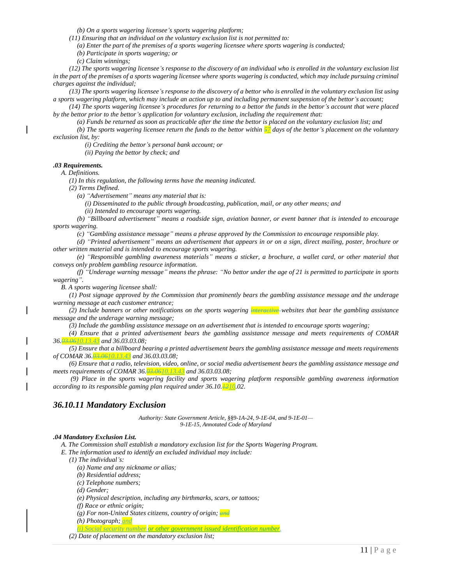*(b) On a sports wagering licensee's sports wagering platform;*

*(11) Ensuring that an individual on the voluntary exclusion list is not permitted to:*

*(a) Enter the part of the premises of a sports wagering licensee where sports wagering is conducted;*

*(b) Participate in sports wagering; or*

*(c) Claim winnings;*

(12) The sports wagering licensee's response to the discovery of an individual who is enrolled in the voluntary exclusion list in the part of the premises of a sports wagering licensee where sports wagering is conducted, which may include pursuing criminal *charges against the individual;*

(13) The sports wagering licensee's response to the discovery of a bettor who is enrolled in the voluntary exclusion list using a sports wagering platform, which may include an action up to and including permanent suspension of the bettor's account;

(14) The sports wagering licensee's procedures for returning to a bettor the funds in the bettor's account that were placed *by the bettor prior to the bettor's application for voluntary exclusion, including the requirement that:*

(a) Funds be returned as soon as practicable after the time the bettor is placed on the voluntary exclusion list; and

(b) The sports wagering licensee return the funds to the bettor within  $\frac{57}{2}$  days of the bettor's placement on the voluntary *exclusion list, by:*

*(i) Crediting the bettor's personal bank account; or*

*(ii) Paying the bettor by check; and*

#### *.03 Requirements.*

*A. Definitions.*

*(1) In this regulation, the following terms have the meaning indicated.*

*(2) Terms Defined.*

*(a) "Advertisement" means any material that is:*

*(i) Disseminated to the public through broadcasting, publication, mail, or any other means; and*

*(ii) Intended to encourage sports wagering.*

(b) "Billboard advertisement" means a roadside sign, aviation banner, or event banner that is intended to encourage *sports wagering.*

*(c) "Gambling assistance message" means a phrase approved by the Commission to encourage responsible play.*

(d) "Printed advertisement" means an advertisement that appears in or on a sign, direct mailing, poster, brochure or *other written material and is intended to encourage sports wagering.*

(e) "Responsible gambling awareness materials" means a sticker, a brochure, a wallet card, or other material that *conveys only problem gambling resource information.*

(f) "Underage warning message" means the phrase: "No bettor under the age of 21 is permitted to participate in sports *wagering".*

*B. A sports wagering licensee shall:*

(1) Post signage approved by the Commission that prominently bears the gambling assistance message and the underage *warning message at each customer entrance;*

(2) Include banners or other notifications on the sports wagering **interactive**-websites that bear the gambling assistance *message and the underage warning message;*

*(3) Include the gambling assistance message on an advertisement that is intended to encourage sports wagering;*

*(4) Ensure that a printed advertisement bears the gambling assistance message and meets requirements of COMAR 36.03.0610.13.43 and 36.03.03.08;*

 $(5)$  Ensure that a billboard bearing a printed advertisement bears the gambling assistance message and meets requirements *of COMAR 36.03.0610.13.43 and 36.03.03.08;*

(6) Ensure that a radio, television, video, online, or social media advertisement bears the gambling assistance message and *meets requirements of COMAR 36.03.0610.13.43 and 36.03.03.08;*

*(9) Place in the sports wagering facility and sports wagering platform responsible gambling awareness information according to its responsible gaming plan required under 36.10.1210.02.*

### *36.10.11 Mandatory Exclusion*

*Authority: State Government Article, §§9-1A-24, 9-1E-04, and 9-1E-01— 9-1E-15, Annotated Code of Maryland*

#### *.04 Mandatory Exclusion List.*

*A. The Commission shall establish a mandatory exclusion list for the Sports Wagering Program.*

*E. The information used to identify an excluded individual may include:*

*(1) The individual's:*

*(a) Name and any nickname or alias;*

*(b) Residential address;*

*(c) Telephone numbers;*

*(d) Gender;*

*(e) Physical description, including any birthmarks, scars, or tattoos;*

*(f) Race or ethnic origin;*

*(g) For non-United States citizens, country of origin; and*

*(h) Photograph; and*

*(i) Social security number or other government issued identification number.*

*(2) Date of placement on the mandatory exclusion list;*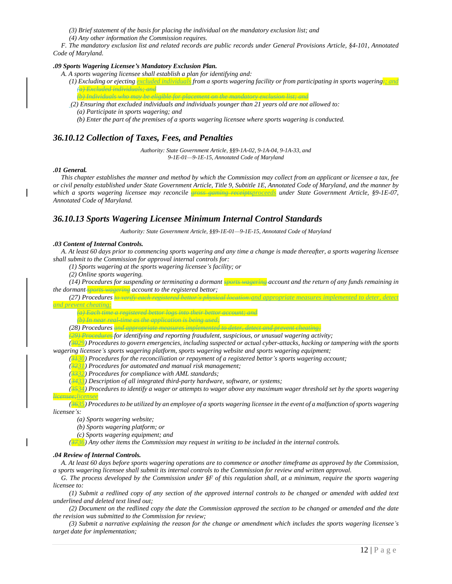- *(3) Brief statement of the basis for placing the individual on the mandatory exclusion list; and*
- *(4) Any other information the Commission requires.*

F. The mandatory exclusion list and related records are public records under General Provisions Article, §4-101, Annotated *Code of Maryland.*

#### *.09 Sports Wagering Licensee's Mandatory Exclusion Plan.*

- *A. A sports wagering licensee shall establish a plan for identifying and:*
	- (1) Excluding or ejecting excluded individuals from a sports wagering facility or from participating in sports wagering  $\frac{1}{2}$  and *(a) Excluded individuals; and*
	- *(b) Individuals who may be eligible for placement on the mandatory exclusion list; and (2) Ensuring that excluded individuals and individuals younger than 21 years old are not allowed to: (a) Participate in sports wagering; and*
		- *(b) Enter the part of the premises of a sports wagering licensee where sports wagering is conducted.*

### *36.10.12 Collection of Taxes, Fees, and Penalties*

*Authority: State Government Article, §§9-1A-02, 9-1A-04, 9-1A-33, and 9-1E-01—9-1E-15, Annotated Code of Maryland*

#### *.01 General.*

This chapter establishes the manner and method by which the Commission may collect from an applicant or licensee a tax, fee or civil penalty established under State Government Article, Title 9, Subtitle 1E, Annotated Code of Maryland, and the manner by *which a sports wagering licensee may reconcile gross gaming receiptsproceeds under State Government Article, §9-1E-07, Annotated Code of Maryland.*

### *36.10.13 Sports Wagering Licensee Minimum Internal Control Standards*

*Authority: State Government Article, §§9-1E-01—9-1E-15, Annotated Code of Maryland*

#### *.03 Content of Internal Controls.*

A. At least 60 days prior to commencing sports wagering and any time a change is made thereafter, a sports wagering licensee *shall submit to the Commission for approval internal controls for:*

*(1) Sports wagering at the sports wagering licensee's facility; or*

*(2) Online sports wagering.*

(14) Procedures for suspending or terminating a dormant where wagering account and the return of any funds remaining in *the dormant sports wagering account to the registered bettor;*

*(27) Procedures to verify each registered bettor's physical location:and appropriate measures implemented to deter, detect and prevent cheating;*

*(a) Each time a registered bettor logs into their bettor account; and*

*(b) In near real-time as the application is being used;*

*(28) Procedures and appropriate measures implemented to deter, detect and prevent cheating;*

*(29) Procedures for identifying and reporting fraudulent, suspicious, or unusual wagering activity;*

 $(3929)$  Procedures to govern emergencies, including suspected or actual cyber-attacks, hacking or tampering with the sports *wagering licensee's sports wagering platform, sports wagering website and sports wagering equipment;*

*(3130) Procedures for the reconciliation or repayment of a registered bettor's sports wagering account;*

- *(3231) Procedures for automated and manual risk management;*
- *(3332) Procedures for compliance with AML standards;*

(*3433) Description of all integrated third-party hardware, software, or systems;*

 $(\frac{2534}{12})$  Procedures to identify a wager or attempts to wager above any maximum wager threshold set by the sports wagering *licensee;licensee*

(3635) Procedures to be utilized by an employee of a sports wagering licensee in the event of a malfunction of sports wagering *licensee's:*

*(a) Sports wagering website;*

*(b) Sports wagering platform; or*

*(c) Sports wagering equipment; and*

*(3736) Any other items the Commission may request in writing to be included in the internal controls.*

#### *.04 Review of Internal Controls.*

A. At least 60 days before sports wagering operations are to commence or another timeframe as approved by the Commission, a sports wagering licensee shall submit its internal controls to the Commission for review and written approval.

G. The process developed by the Commission under  $\S F$  of this regulation shall, at a minimum, require the sports wagering *licensee to:*

(1) Submit a redlined copy of any section of the approved internal controls to be changed or amended with added text *underlined and deleted text lined out;*

(2) Document on the redlined copy the date the Commission approved the section to be changed or amended and the date *the revision was submitted to the Commission for review;*

(3) Submit a narrative explaining the reason for the change or amendment which includes the sports wagering licensee's *target date for implementation;*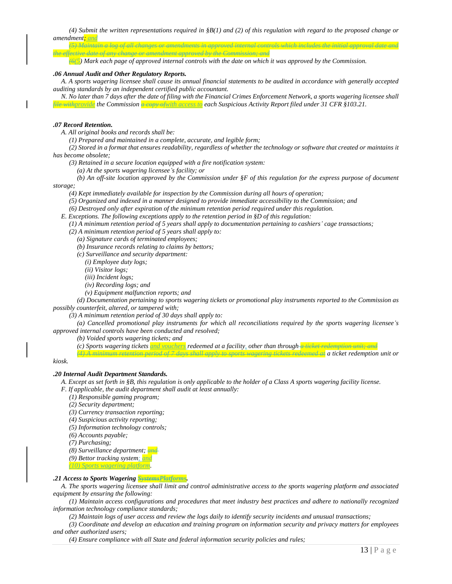(4) Submit the written representations required in  $\S(1)$  and (2) of this regulation with regard to the proposed change or *amendment; and (5) Maintain a log of all changes or amendments in approved internal controls which includes the initial approval date and* 

*the effective date of any change or amendment approved by the Commission; and*  $\frac{16(5)}{2}$  Mark each page of approved internal controls with the date on which it was approved by the Commission.

#### *.06 Annual Audit and Other Regulatory Reports.*

A. A sports wagering licensee shall cause its annual financial statements to be audited in accordance with generally accepted *auditing standards by an independent certified public accountant.*

N. No later than 7 days after the date of filing with the Financial Crimes Enforcement Network, a sports wagering licensee shall *file withprovide the Commission a copy ofwith access to each Suspicious Activity Report filed under 31 CFR §103.21.*

#### *.07 Record Retention.*

*A. All original books and records shall be:*

*(1) Prepared and maintained in a complete, accurate, and legible form;*

(2) Stored in a format that ensures readability, regardless of whether the technology or software that created or maintains it *has become obsolete;*

*(3) Retained in a secure location equipped with a fire notification system:*

*(a) At the sports wagering licensee's facility; or*

(b) An off-site location approved by the Commission under  $\S F$  of this regulation for the express purpose of document *storage;*

*(4) Kept immediately available for inspection by the Commission during all hours of operation;*

*(5) Organized and indexed in a manner designed to provide immediate accessibility to the Commission; and*

*(6) Destroyed only after expiration of the minimum retention period required under this regulation.*

*E. Exceptions. The following exceptions apply to the retention period in §D of this regulation:*

 $(1)$  A minimum retention period of 5 years shall apply to documentation pertaining to cashiers' cage transactions;

- *(2) A minimum retention period of 5 years shall apply to:*
	- *(a) Signature cards of terminated employees;*
	- *(b) Insurance records relating to claims by bettors;*
	- *(c) Surveillance and security department:*
		- *(i) Employee duty logs;*
		- *(ii) Visitor logs;*
		- *(iii) Incident logs;*
		- *(iv) Recording logs; and*
		- *(v) Equipment malfunction reports; and*

(d) Documentation pertaining to sports wagering tickets or promotional play instruments reported to the Commission as *possibly counterfeit, altered, or tampered with;*

*(3) A minimum retention period of 30 days shall apply to:*

*(a) Cancelled promotional play instruments for which all reconciliations required by the sports wagering licensee's approved internal controls have been conducted and resolved;*

*(b) Voided sports wagering tickets; and*

*(c) Sports wagering tickets and vouchers redeemed at a facility, other than through a ticket redemption unit; and*

*(4) A minimum retention period of 7 days shall apply to sports wagering tickets redeemed at a ticket redemption unit or* 

#### *kiosk.*

#### *.20 Internal Audit Department Standards.*

- A. Except as set forth in §B, this regulation is only applicable to the holder of a Class A sports wagering facility license.
- *F. If applicable, the audit department shall audit at least annually:*
	- *(1) Responsible gaming program;*
	- *(2) Security department;*
	- *(3) Currency transaction reporting;*
	- *(4) Suspicious activity reporting;*
	- *(5) Information technology controls;*
	- *(6) Accounts payable;*
	- *(7) Purchasing;*
	- *(8) Surveillance department; and*
	- *(9) Bettor tracking system; and*
	- *(10) Sports wagering platform.*

#### *.21 Access to Sports Wagering SystemsPlatforms.*

A. The sports wagering licensee shall limit and control administrative access to the sports wagering platform and associated *equipment by ensuring the following:*

(1) Maintain access configurations and procedures that meet industry best practices and adhere to nationally recognized *information technology compliance standards;*

(2) Maintain logs of user access and review the logs daily to identify security incidents and unusual transactions;

(3) Coordinate and develop an education and training program on information security and privacy matters for employees *and other authorized users;*

*(4) Ensure compliance with all State and federal information security policies and rules;*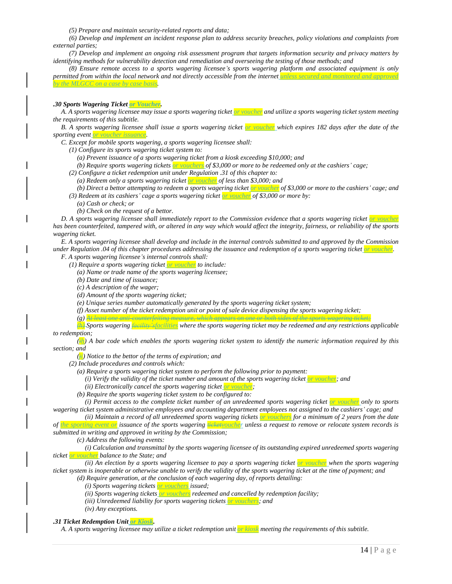*(5) Prepare and maintain security-related reports and data;*

(6) Develop and implement an incident response plan to address security breaches, policy violations and complaints from *external parties;*

(7) Develop and implement an ongoing risk assessment program that targets information security and privacy matters by *identifying methods for vulnerability detection and remediation and overseeing the testing of those methods; and*

(8) Ensure remote access to a sports wagering licensee's sports wagering platform and associated equipment is only permitted from within the local network and not directly accessible from the internet unless secured and monitored *by the MLGCC on a case by case basis.*

#### *.30 Sports Wagering Ticket or Voucher.*

A. A sports wagering licensee may issue a sports wagering ticket or voucher and utilize a sports wagering ticket system meeting *the requirements of this subtitle.*

B. A sports wagering licensee shall issue a sports wagering ticket or voucher which expires 182 days after the date of the *sporting event or voucher issuance.*

*C. Except for mobile sports wagering, a sports wagering licensee shall:*

*(1) Configure its sports wagering ticket system to:*

*(a) Prevent issuance of a sports wagering ticket from a kiosk exceeding \$10,000; and*

- (b) Require sports wagering tickets or vouchers of \$3,000 or more to be redeemed only at the cashiers' cage;
- *(2) Configure a ticket redemption unit under Regulation .31 of this chapter to:*

*(a) Redeem only a sports wagering ticket or voucher of less than \$3,000; and*

- (b) Direct a bettor attempting to redeem a sports wagering ticket or voucher of \$3,000 or more to the cashiers' cage; and
- *(3) Redeem at its cashiers' cage a sports wagering ticket or voucher of \$3,000 or more by:*
	- *(a) Cash or check; or*
	- *(b) Check on the request of a bettor.*

D. A sports wagering licensee shall immediately report to the Commission evidence that a sports wagering ticket or voucher has been counterfeited, tampered with, or altered in any way which would affect the integrity, fairness, or reliability of the sports *wagering ticket.*

E. A sports wagering licensee shall develop and include in the internal controls submitted to and approved by the Commission under Regulation .04 of this chapter procedures addressing the issuance and redemption of a sports wagering ticket or voucher. *F. A sports wagering licensee's internal controls shall:*

*(1) Require a sports wagering ticket or voucher to include:*

*(a) Name or trade name of the sports wagering licensee;*

- *(b) Date and time of issuance;*
- *(c) A description of the wager;*
- *(d) Amount of the sports wagering ticket;*
- *(e) Unique series number automatically generated by the sports wagering ticket system;*
- (f) Asset number of the ticket redemption unit or point of sale device dispensing the sports wagering ticket;

*(g) At least one anti-counterfeiting measure, which appears on one or both sides of the sports wagering ticket;* (4) Sports wagering *caelity* sfacilities where the sports wagering ticket may be redeemed and any restrictions applicable *to redemption;*

 $\langle \mathbf{H} \rangle$ ) A bar code which enables the sports wagering ticket system to identify the numeric information required by this *section; and*

*(ji) Notice to the bettor of the terms of expiration; and*

*(2) Include procedures and controls which:*

*(a) Require a sports wagering ticket system to perform the following prior to payment:*

- *(i) Verify the validity of the ticket number and amount of the sports wagering ticket or voucher; and*
- *(ii) Electronically cancel the sports wagering ticket or voucher;*
- *(b) Require the sports wagering ticket system to be configured to:*

(i) Permit access to the complete ticket number of an unredeemed sports wagering ticket or voucher only to sports wagering ticket system administrative employees and accounting department employees not assigned to the cashiers' cage; and

(ii) Maintain a record of all unredeemed sports wagering tickets or vouchers for a minimum of 2 years from the date of the sporting event on issuance of the sports wagering Heketyoucher unless a request to remove or relocate system records is *submitted in writing and approved in writing by the Commission;*

*(c) Address the following events:*

(i) Calculation and transmittal by the sports wagering licensee of its outstanding expired unredeemed sports wagering *ticket or voucher balance to the State; and*

(ii) An election by a sports wagering licensee to pay a sports wagering ticket or voucher when the sports wagering ticket system is inoperable or otherwise unable to verify the validity of the sports wagering ticket at the time of payment; and *(d) Require generation, at the conclusion of each wagering day, of reports detailing:*

*(i) Sports wagering tickets or vouchers issued;*

*(ii) Sports wagering tickets or vouchers redeemed and cancelled by redemption facility;*

*(iii) Unredeemed liability for sports wagering tickets or vouchers; and*

*(iv) Any exceptions.*

*.31 Ticket Redemption Unit or Kiosk.*

A. A sports wagering licensee may utilize a ticket redemption unit or kiosk meeting the requirements of this subtitle.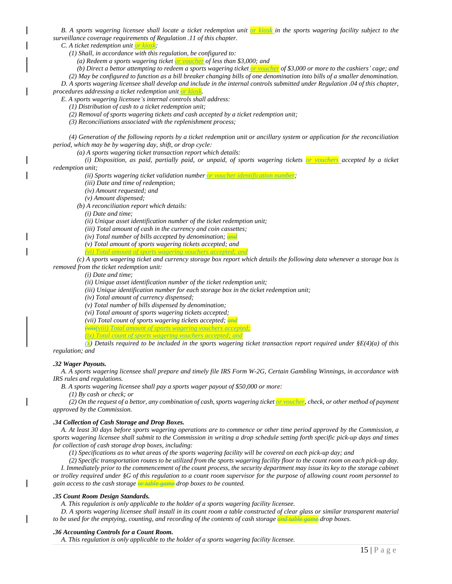B. A sports wagering licensee shall locate a ticket redemption unit or kiosk in the sports wagering facility subject to the *surveillance coverage requirements of Regulation .11 of this chapter.*

*C. A ticket redemption unit or kiosk:*

*(1) Shall, in accordance with this regulation, be configured to:*

*(a) Redeem a sports wagering ticket or voucher of less than \$3,000; and*

(b) Direct a bettor attempting to redeem a sports wagering ticket <mark>or voucher</mark> of \$3,000 or more to the cashiers' cage; and

(2) May be configured to function as a bill breaker changing bills of one denomination into bills of a smaller denomination. D. A sports wagering licensee shall develop and include in the internal controls submitted under Regulation .04 of this chapter,

*procedures addressing a ticket redemption unit or kiosk.*

*E. A sports wagering licensee's internal controls shall address:*

*(1) Distribution of cash to a ticket redemption unit;*

*(2) Removal of sports wagering tickets and cash accepted by a ticket redemption unit;*

*(3) Reconciliations associated with the replenishment process;*

(4) Generation of the following reports by a ticket redemption unit or ancillary system or application for the reconciliation *period, which may be by wagering day, shift, or drop cycle:*

*(a) A sports wagering ticket transaction report which details:*

(i) Disposition, as paid, partially paid, or unpaid, of sports wagering tickets or vouchers accepted by a ticket *redemption unit;*

*(ii) Sports wagering ticket validation number or voucher identification number;*

*(iii) Date and time of redemption;*

*(iv) Amount requested; and*

*(v) Amount dispensed;*

*(b) A reconciliation report which details:*

*(i) Date and time;*

*(ii) Unique asset identification number of the ticket redemption unit;*

*(iii) Total amount of cash in the currency and coin cassettes;*

*(iv) Total number of bills accepted by denomination; and*

*(v) Total amount of sports wagering tickets accepted; and (vi) Total amount of sports wagering vouchers accepted; and*

(c) A sports wagering ticket and currency storage box report which details the following data whenever a storage box is *removed from the ticket redemption unit:*

*(i) Date and time;*

*(ii) Unique asset identification number of the ticket redemption unit;*

*(iii) Unique identification number for each storage box in the ticket redemption unit;*

*(iv) Total amount of currency dispensed;*

*(v) Total number of bills dispensed by denomination;*

*(vi) Total amount of sports wagering tickets accepted;*

*(vii) Total count of sports wagering tickets accepted; and*

*(viii(viii) Total amount of sports wagering vouchers accepted;*

*(ix) Total count of sports wagering vouchers accepted; and*

(a) Details required to be included in the sports wagering ticket transaction report required under  $\S E(4)(a)$  of this *regulation; and*

#### *.32 Wager Payouts.*

A. A sports wagering licensee shall prepare and timely file IRS Form W-2G, Certain Gambling Winnings, in accordance with *IRS rules and regulations.*

*B. A sports wagering licensee shall pay a sports wager payout of \$50,000 or more:*

*(1) By cash or check; or*

(2) On the request of a bettor, any combination of cash, sports wagering ticket or youcher, check, or other method of payment *approved by the Commission.*

#### *.34 Collection of Cash Storage and Drop Boxes.*

A. At least 30 days before sports wagering operations are to commence or other time period approved by the Commission, a sports wagering licensee shall submit to the Commission in writing a drop schedule setting forth specific pick-up days and times *for collection of cash storage drop boxes, including:*

(1) Specifications as to what areas of the sports wagering facility will be covered on each pick-up day; and

(2) Specific transportation routes to be utilized from the sports wagering facility floor to the count room on each pick-up day.

I. Immediately prior to the commencement of the count process, the security department may issue its key to the storage cabinet or trolley required under §G of this regulation to a count room supervisor for the purpose of allowing count room personnel to *gain access to the cash storage or table game drop boxes to be counted.*

#### *.35 Count Room Design Standards.*

*A. This regulation is only applicable to the holder of a sports wagering facility licensee.*

D. A sports wagering licensee shall install in its count room a table constructed of clear glass or similar transparent material to be used for the emptying, counting, and recording of the contents of cash storage and table game-drop boxes.

#### *.36 Accounting Controls for a Count Room.*

*A. This regulation is only applicable to the holder of a sports wagering facility licensee.*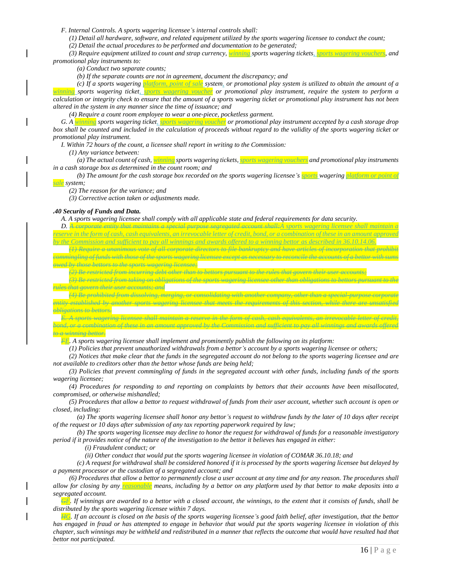*F. Internal Controls. A sports wagering licensee's internal controls shall:*

(1) Detail all hardware, software, and related equipment utilized by the sports wagering licensee to conduct the count;

*(2) Detail the actual procedures to be performed and documentation to be generated;*

*(3) Require equipment utilized to count and strap currency, winning sports wagering tickets, sports wagering vouchers, and promotional play instruments to:*

*(a) Conduct two separate counts;*

*(b) If the separate counts are not in agreement, document the discrepancy; and*

(c) If a sports wagering *platform*, point of sale system, or promotional play system is utilized to obtain the amount of a *winning sports wagering ticket, sports wagering voucher or promotional play instrument, require the system to perform a* calculation or integrity check to ensure that the amount of a sports wagering ticket or promotional play instrument has not been *altered in the system in any manner since the time of issuance; and*

*(4) Require a count room employee to wear a one-piece, pocketless garment.*

G. A winning sports wagering ticket, sports wagering vouchen or promotional play instrument accepted by a cash storage drop box shall be counted and included in the calculation of proceeds without regard to the validity of the sports wagering ticket or *promotional play instrument.*

*I. Within 72 hours of the count, a licensee shall report in writing to the Commission:*

*(1) Any variance between:*

(a) The actual count of cash, winning sports wagering tickets, sports wagering vouchers and promotional play instruments *in a cash storage box as determined in the count room; and*

(b) The amount for the cash storage box recorded on the sports wagering licensee's sports wagering platform or point of *sale system;*

*(2) The reason for the variance; and*

*(3) Corrective action taken or adjustments made.*

#### *.40 Security of Funds and Data.*

A. A sports wagering licensee shall comply with all applicable state and federal requirements for data security.

*D. A corporate entity that maintains a special purpose segregated account shall:A sports wagering licensee shall maintain a reserve in the form of cash, cash equivalents, an irrevocable letter of credit, bond, or a combination of these in an amount approved* 

*by the Commission and sufficient to pay all winnings and awards offered to a winning bettor as described in 36.10.14.06.*

*(1) Require a unanimous vote of all corporate directors to file bankruptcy and have articles of incorporation that prohibit commingling of funds with those of the sports wagering licensee except as necessary to reconcile the accounts of a bettor with sums owed by those bettors to the sports wagering licensee;*

*(2) Be restricted from incurring debt other than to bettors pursuant to the rules that govern their user accounts;*

*(3) Be restricted from taking on obligations of the sports wagering licensee other than obligations to bettors pursuant to the rules that govern their user accounts; and*

*(4) Be prohibited from dissolving, merging, or consolidating with another company, other than a special-purpose corporate entity established by another sports wagering licensee that meets the requirements of this section, while there are unsatisfied obligations to bettors.*

*E. A sports wagering licensee shall maintain a reserve in the form of cash, cash equivalents, an irrevocable letter of credit, bond, or a combination of these in an amount approved by the Commission and sufficient to pay all winnings and awards offered to a winning bettor.*

*FE. A sports wagering licensee shall implement and prominently publish the following on its platform:*

 $(1)$  Policies that prevent unauthorized withdrawals from a bettor's account by a sports wagering licensee or others;

(2) Notices that make clear that the funds in the segregated account do not belong to the sports wagering licensee and are *not available to creditors other than the bettor whose funds are being held;*

(3) Policies that prevent commingling of funds in the segregated account with other funds, including funds of the sports *wagering licensee;*

(4) Procedures for responding to and reporting on complaints by bettors that their accounts have been misallocated, *compromised, or otherwise mishandled;*

(5) Procedures that allow a bettor to request withdrawal of funds from their user account, whether such account is open or *closed, including:*

(a) The sports wagering licensee shall honor any bettor's request to withdraw funds by the later of 10 days after receipt *of the request or 10 days after submission of any tax reporting paperwork required by law;*

(b) The sports wagering licensee may decline to honor the request for withdrawal of funds for a reasonable investigatory period if it provides notice of the nature of the investigation to the bettor it believes has engaged in either:

*(i) Fraudulent conduct; or*

*(ii) Other conduct that would put the sports wagering licensee in violation of COMAR 36.10.18; and*

(c) A request for withdrawal shall be considered honored if it is processed by the sports wagering licensee but delayed by *a payment processor or the custodian of a segregated account; and*

(6) Procedures that allow a bettor to permanently close a user account at any time and for any reason. The procedures shall allow for closing by any reasonable means, including by a bettor on any platform used by that bettor to make deposits into a *segregated account.*

 $G_L$ . If winnings are awarded to a bettor with a closed account, the winnings, to the extent that it consists of funds, shall be *distributed by the sports wagering licensee within 7 days.*

 $\frac{110}{10}$ . If an account is closed on the basis of the sports wagering licensee's good faith belief, after investigation, that the bettor has engaged in fraud or has attempted to engage in behavior that would put the sports wagering licensee in violation of this chapter, such winnings may be withheld and redistributed in a manner that reflects the outcome that would have resulted had that *bettor not participated.*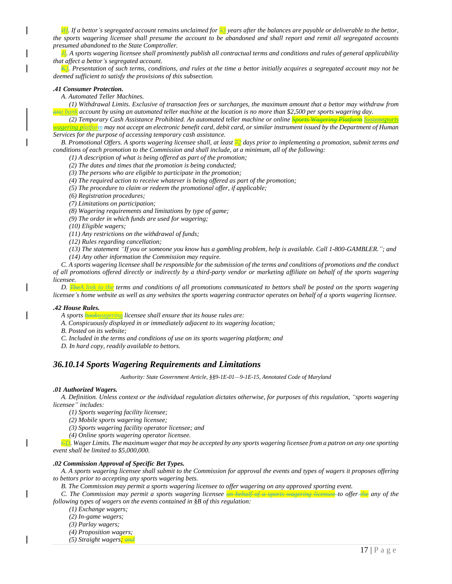$\frac{H}{2}$ . If a bettor's segregated account remains unclaimed for  $\frac{S}{2}$  years after the balances are payable or deliverable to the bettor, the sports wagering licensee shall presume the account to be abandoned and shall report and remit all segregated accounts *presumed abandoned to the State Comptroller.*

 $H$ . A sports wagering licensee shall prominently publish all contractual terms and conditions and rules of general applicability *that affect a bettor's segregated account.*

 $\frac{1}{100}$ . Presentation of such terms, conditions, and rules at the time a bettor initially acquires a segregated account may not be *deemed sufficient to satisfy the provisions of this subsection.*

#### *.41 Consumer Protection.*

*A. Automated Teller Machines.*

(1) Withdrawal Limits. Exclusive of transaction fees or surcharges, the maximum amount that a bettor may withdraw from and bank account by using an automated teller machine at the location is no more than \$2,500 per sports wagering day.

*(2) Temporary Cash Assistance Prohibited. An automated teller machine or online Sports Wagering Platform Systemsports*  wagering platform may not accept an electronic benefit card, debit card, or similar instrument issued by the Department of Human

*Services for the purpose of accessing temporary cash assistance.*

B. Promotional Offers. A sports wagering licensee shall, at least  $\frac{72}{3}$  days prior to implementing a promotion, submit terms and *conditions of each promotion to the Commission and shall include, at a minimum, all of the following:*

*(1) A description of what is being offered as part of the promotion;*

*(2) The dates and times that the promotion is being conducted;*

*(3) The persons who are eligible to participate in the promotion;*

*(4) The required action to receive whatever is being offered as part of the promotion;*

*(5) The procedure to claim or redeem the promotional offer, if applicable;*

*(6) Registration procedures;*

*(7) Limitations on participation;*

*(8) Wagering requirements and limitations by type of game;*

*(9) The order in which funds are used for wagering;*

*(10) Eligible wagers;*

*(11) Any restrictions on the withdrawal of funds;*

*(12) Rules regarding cancellation;*

(13) The statement "If you or someone you know has a gambling problem, help is available. Call 1-800-GAMBLER."; and

*(14) Any other information the Commission may require.*

C. A sports wagering licensee shall be responsible for the submission of the terms and conditions of promotions and the conduct of all promotions offered directly or indirectly by a third-party vendor or marketing affiliate on behalf of the sports wagering *licensee.*

D. **TheA** link to the terms and conditions of all promotions communicated to bettors shall be posted on the sports wagering licensee's home website as well as any websites the sports wagering contractor operates on behalf of a sports wagering licensee.

#### *.42 House Rules.*

*A sports bookwagering licensee shall ensure that its house rules are:*

*A. Conspicuously displayed in or immediately adjacent to its wagering location;*

*B. Posted on its website;*

- *C. Included in the terms and conditions of use on its sports wagering platform; and*
- *D. In hard copy, readily available to bettors.*

### *36.10.14 Sports Wagering Requirements and Limitations*

*Authority: State Government Article, §§9-1E-01—9-1E-15, Annotated Code of Maryland*

#### *.01 Authorized Wagers.*

A. Definition. Unless context or the individual regulation dictates otherwise, for purposes of this regulation, "sports wagering *licensee" includes:*

*(1) Sports wagering facility licensee;*

*(2) Mobile sports wagering licensee;*

*(3) Sports wagering facility operator licensee; and*

*(4) Online sports wagering operator licensee.*

 $\epsilon_{\rm D}$ . Wager Limits. The maximum wager that may be accepted by any sports wagering licensee from a patron on any one sporting *event shall be limited to \$5,000,000.*

#### *.02 Commission Approval of Specific Bet Types.*

A. A sports wagering licensee shall submit to the Commission for approval the events and types of wagers it proposes offering *to bettors prior to accepting any sports wagering bets.*

*B. The Commission may permit a sports wagering licensee to offer wagering on any approved sporting event.*

C. The Commission may permit a sports wagering licensee on behalf of a sports wagering licensee to offer-the any of the *following types of wagers on the events contained in §B of this regulation:*

*(1) Exchange wagers;*

*(2) In-game wagers;*

*(3) Parlay wagers;*

*(4) Proposition wagers;*

*(5) Straight wagers; and*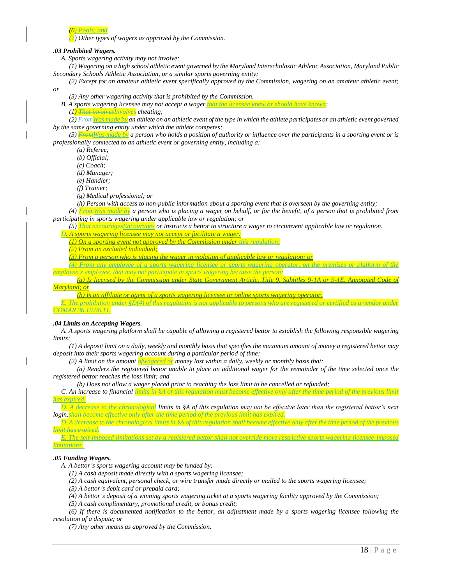

*(7) Other types of wagers as approved by the Commission.*

#### *.03 Prohibited Wagers.*

*A. Sports wagering activity may not involve:*

(1) Wagering on a high school athletic event governed by the Maryland Interscholastic Athletic Association, Maryland Public *Secondary Schools Athletic Association, or a similar sports governing entity;*

(2) Except for an amateur athletic event specifically approved by the Commission, wagering on an amateur athletic event; *or*

*(3) Any other wagering activity that is prohibited by the Commission.*

*B. A sports wagering licensee may not accept a wager that the licensee knew or should have known:*

*(1) That involvesInvolves cheating;*

(2) *From Was made by* an athlete on an athletic event of the type in which the athlete participates or an athletic event governed *by the same governing entity under which the athlete competes;*

(3) **From Was made by** a person who holds a position of authority or influence over the participants in a sporting event or is *professionally connected to an athletic event or governing entity, including a:*

*(a) Referee;*

*(b) Official;*

*(c) Coach;*

*(d) Manager;*

*(e) Handler;*

*(f) Trainer;*

*(g) Medical professional; or*

(h) Person with access to non-public information about a sporting event that is overseen by the governing entity;

(4) **Erom Was made by** a person who is placing a wager on behalf, or for the benefit, of a person that is prohibited from *participating in sports wagering under applicable law or regulation; or*

(5) That encourages Encourages or instructs a bettor to structure a wager to circumvent applicable law or regulation.

- *D. A sports wagering licensee may not accept or facilitate a wager:*
	- *(1) On a sporting event not approved by the Commission under this regulation;*

*(2) From an excluded individual;*

*(3) From a person who is placing the wager in violation of applicable law or regulation; or*

*(4) From any employee of a sports wagering licensee or sports wagering operator, on the premises or platform of the* 

*employee's employee, that may not participate in sports wagering because the person:*

*(a) Is licensed by the Commission under State Government Article, Maryland; or*

*(b) Is an affiliate or agent of a sports wagering licensee or online sports wagering* 

*E. The prohibition under §D(4) of this regulation is not applicable to persons who are registered or certified as a vendor under COMAR 36.10.06.11.*

#### *.04 Limits on Accepting Wagers.*

A. A sports wagering platform shall be capable of allowing a registered bettor to establish the following responsible wagering *limits:*

(1) A deposit limit on a daily, weekly and monthly basis that specifies the maximum amount of money a registered bettor may *deposit into their sports wagering account during a particular period of time;*

*(2) A limit on the amount ofwagered or money lost within a daily, weekly or monthly basis that:*

(a) Renders the registered bettor unable to place an additional wager for the remainder of the time selected once the *registered bettor reaches the loss limit; and*

*(b) Does not allow a wager placed prior to reaching the loss limit to be cancelled or refunded;*

*C. An increase to financial limits in §A of this regulation must become effective only after the time period of the previous limit has expired.*

*D. A decrease to the chronological limits in §A of this regulation may not be effective later than the registered bettor's next login.shall become effective only after the time period of the previous limit has expired.*

*D. A decrease to the chronological limits in §A of this regulation shall become effective only after the time period of the previous limit has expired.*

*E. The self-imposed limitations set by a registered bettor shall not override more restrictive sports wagering licensee-imposed limitations.*

### *.05 Funding Wagers.*

*A. A bettor's sports wagering account may be funded by:*

- *(1) A cash deposit made directly with a sports wagering licensee;*
- (2) A cash equivalent, personal check, or wire transfer made directly or mailed to the sports wagering licensee;

*(3) A bettor's debit card or prepaid card;*

(4) A bettor's deposit of a winning sports wagering ticket at a sports wagering facility approved by the Commission;

*(5) A cash complimentary, promotional credit, or bonus credit;*

(6) If there is documented notification to the bettor, an adjustment made by a sports wagering licensee following the *resolution of a dispute; or*

*(7) Any other means as approved by the Commission.*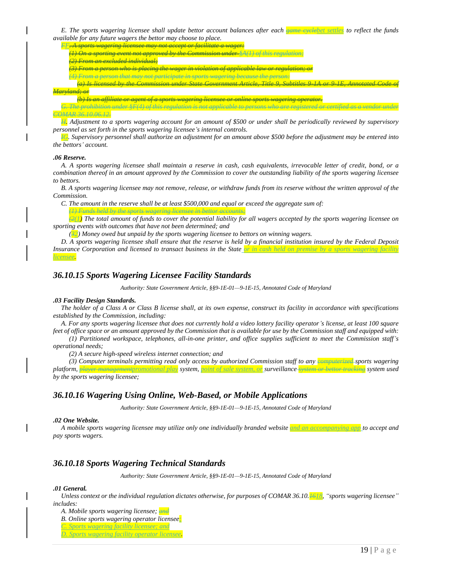E. The sports wagering licensee shall update bettor account balances after each **game** excluded settles to reflect the funds *available for any future wagers the bettor may choose to place.*

| groves was suing liganges may not gegent on facilitate a wagen<br><u>. I was no have the assumed may have assumed to make the second of the state</u>                                                                                                                                                                                                                                              |
|----------------------------------------------------------------------------------------------------------------------------------------------------------------------------------------------------------------------------------------------------------------------------------------------------------------------------------------------------------------------------------------------------|
| $C_{\alpha\mu\nu}$ index $\mu\lambda\mu\lambda\lambda(1)$ of this requision.<br>a another avant not approved<br>$U$ IV W DIVOT VIIIS U<br>70 F C 67 0                                                                                                                                                                                                                                              |
| inone an orolu<br><del>27170m un exemueu munruma</del>                                                                                                                                                                                                                                                                                                                                             |
| ruam a newgan who is placing the wagon in wigletion of applicable law or negulations or                                                                                                                                                                                                                                                                                                            |
| $a$ and $a$ and $a$ and $a$ and $a$<br>seause the neveau                                                                                                                                                                                                                                                                                                                                           |
| $T^*_{\mathcal{A}}$ of $\mathcal{A}$ $\mathcal{A}$ $\mathcal{A}$ $\mathcal{A}$ $\mathcal{A}$ $\mathcal{A}$ $\mathcal{A}$ $\mathcal{A}$ $\mathcal{A}$ $\mathcal{A}$ $\mathcal{A}$ $\mathcal{A}$ $\mathcal{A}$ $\mathcal{A}$ $\mathcal{A}$ $\mathcal{A}$ $\mathcal{A}$ $\mathcal{A}$ $\mathcal{A}$ $\mathcal{A}$ $\mathcal{A}$ $\mathcal{A}$ $\mathcal{A}$<br>$Conmission$ under $State$ Coverage of |
| $M_{\text{c}}$ and and $\alpha$<br><u>iniun yuunuu, vi</u>                                                                                                                                                                                                                                                                                                                                         |
| (b) Is an affiliate on agent of a monte wagening ligences on enline monte wagening energton<br>1999 R. Startegio (1999) - 1999 R. Startegio (1999) - 1999 P. Startegio (1999) - 1999 R. Startegio (1999) - 1999 P. Startegio                                                                                                                                                                       |
|                                                                                                                                                                                                                                                                                                                                                                                                    |
| <b>The Party of the State</b>                                                                                                                                                                                                                                                                                                                                                                      |
| $\cdot$ $0.0000$<br>1 11 1<br>$\cdots$<br>$\mathbf{v}$                                                                                                                                                                                                                                                                                                                                             |

H. Adjustment to a sports wagering account for an amount of \$500 or under shall be periodically reviewed by supervisory *personnel as set forth in the sports wagering licensee's internal controls.*

 $\overline{46}$ . Supervisory personnel shall authorize an adjustment for an amount above \$500 before the adjustment may be entered into *the bettors' account.*

#### *.06 Reserve.*

A. A sports wagering licensee shall maintain a reserve in cash, cash equivalents, irrevocable letter of credit, bond, or a combination thereof in an amount approved by the Commission to cover the outstanding liability of the sports wagering licensee *to bettors.*

B. A sports wagering licensee may not remove, release, or withdraw funds from its reserve without the written approval of the *Commission.*

C. The amount in the reserve shall be at least \$500,000 and equal or exceed the aggregate sum of:

*(1) Funds held by the sports wagering licensee in bettor accounts;*

 $(2(1)$  The total amount of funds to cover the potential liability for all wagers accepted by the sports wagering licensee on *sporting events with outcomes that have not been determined; and*

*(32) Money owed but unpaid by the sports wagering licensee to bettors on winning wagers.*

D. A sports wagering licensee shall ensure that the reserve is held by a financial institution insured by the Federal Deposit *Insurance Corporation and licensed to transact business in the State or in cash held on premise by a sports wagering facility licensee.*

### *36.10.15 Sports Wagering Licensee Facility Standards*

*Authority: State Government Article, §§9-1E-01—9-1E-15, Annotated Code of Maryland*

#### *.03 Facility Design Standards.*

The holder of a Class A or Class B license shall, at its own expense, construct its facility in accordance with specifications *established by the Commission, including:*

*A. For any sports wagering licensee that does not currently hold a video lottery facility operator's license, at least 100 square feet of office space or an amount approved by the Commission that is available for use by the Commission staff and equipped with:*

*(1) Partitioned workspace, telephones, all-in-one printer, and office supplies sufficient to meet the Commission staff's operational needs;*

*(2) A secure high-speed wireless internet connection; and*

*(3) Computer terminals permitting read only access by authorized Commission staff to any computerized sports wagering platform, player managementpromotional play system, point of sale system, or surveillance system or bettor tracking system used by the sports wagering licensee;*

### *36.10.16 Wagering Using Online, Web-Based, or Mobile Applications*

*Authority: State Government Article, §§9-1E-01—9-1E-15, Annotated Code of Maryland*

#### *.02 One Website.*

A mobile sports wagering licensee may utilize only one individually branded website and an accompanying app to accept and *pay sports wagers.*

### *36.10.18 Sports Wagering Technical Standards*

*Authority: State Government Article, §§9-1E-01—9-1E-15, Annotated Code of Maryland*

#### *.01 General.*

Unless context or the individual regulation dictates otherwise, for purposes of COMAR 36.10.<sup>1618</sup>, "sports wagering licensee" *includes:*

*A. Mobile sports wagering licensee; and*

*B. Online sports wagering operator licensee;*

*C. Sports wagering facility licensee; and*

*D. Sports wagering facility operator licensee.*